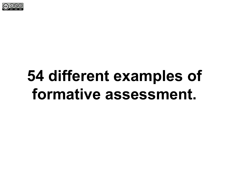

# **54 different examples of formative assessment.**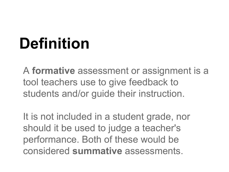# **Definition**

A **formative** assessment or assignment is a tool teachers use to give feedback to students and/or guide their instruction.

It is not included in a student grade, nor should it be used to judge a teacher's performance. Both of these would be considered **summative** assessments.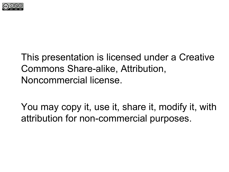

### This presentation is licensed under a Creative Commons Share-alike, Attribution, Noncommercial license.

You may copy it, use it, share it, modify it, with attribution for non-commercial purposes.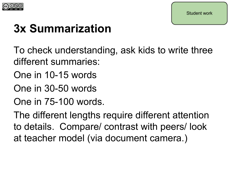

### **3x Summarization**

To check understanding, ask kids to write three different summaries:

- One in 10-15 words
- One in 30-50 words
- One in 75-100 words.

The different lengths require different attention to details. Compare/ contrast with peers/ look at teacher model (via document camera.)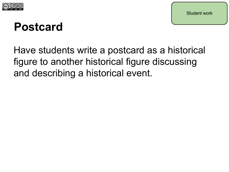

### **Postcard**

Have students write a postcard as a historical figure to another historical figure discussing and describing a historical event.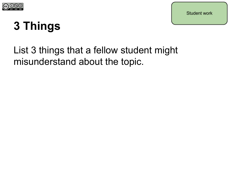

# **3 Things**

### List 3 things that a fellow student might misunderstand about the topic.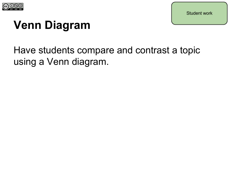

# **Venn Diagram**

### Have students compare and contrast a topic using a Venn diagram.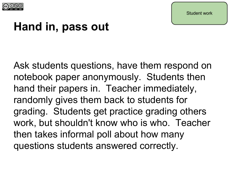

### **Hand in, pass out**

Ask students questions, have them respond on notebook paper anonymously. Students then hand their papers in. Teacher immediately, randomly gives them back to students for grading. Students get practice grading others work, but shouldn't know who is who. Teacher then takes informal poll about how many questions students answered correctly.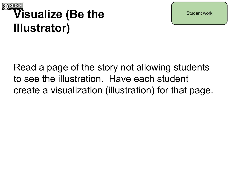

# **Visualize (Be the Illustrator)**

Read a page of the story not allowing students to see the illustration. Have each student create a visualization (illustration) for that page.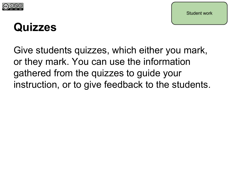

### **Quizzes**

Give students quizzes, which either you mark, or they mark. You can use the information gathered from the quizzes to guide your instruction, or to give feedback to the students.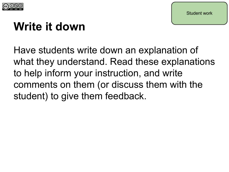

### **Write it down**

Have students write down an explanation of what they understand. Read these explanations to help inform your instruction, and write comments on them (or discuss them with the student) to give them feedback.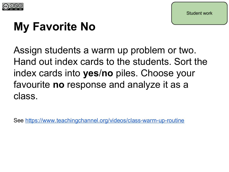

## **My Favorite No**

Assign students a warm up problem or two. Hand out index cards to the students. Sort the index cards into **yes**/**no** piles. Choose your favourite **no** response and analyze it as a class.

See <https://www.teachingchannel.org/videos/class-warm-up-routine>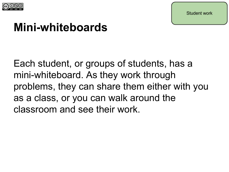

### **Mini-whiteboards**

Each student, or groups of students, has a mini-whiteboard. As they work through problems, they can share them either with you as a class, or you can walk around the classroom and see their work.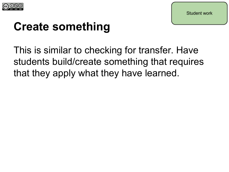

### **Create something**

This is similar to checking for transfer. Have students build/create something that requires that they apply what they have learned.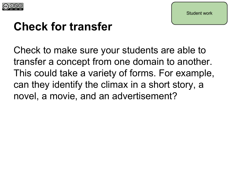

### **Check for transfer**

Check to make sure your students are able to transfer a concept from one domain to another. This could take a variety of forms. For example, can they identify the climax in a short story, a novel, a movie, and an advertisement?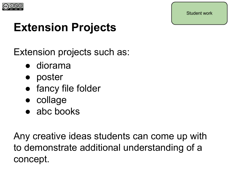

## **Extension Projects**

Extension projects such as:

- diorama
- poster
- fancy file folder
- collage
- $\bullet$  abc books

Any creative ideas students can come up with to demonstrate additional understanding of a concept.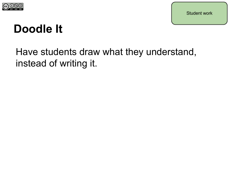

### **Doodle It**

### Have students draw what they understand, instead of writing it.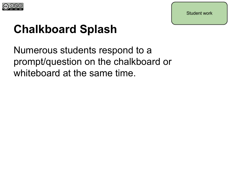

### **Chalkboard Splash**

Numerous students respond to a prompt/question on the chalkboard or whiteboard at the same time.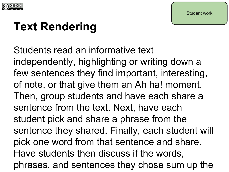

### **Text Rendering**

Students read an informative text independently, highlighting or writing down a few sentences they find important, interesting, of note, or that give them an Ah ha! moment. Then, group students and have each share a sentence from the text. Next, have each student pick and share a phrase from the sentence they shared. Finally, each student will pick one word from that sentence and share. Have students then discuss if the words, phrases, and sentences they chose sum up the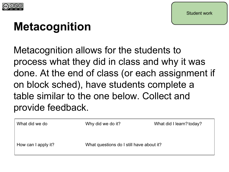

### **Metacognition**

Metacognition allows for the students to process what they did in class and why it was done. At the end of class (or each assignment if on block sched), have students complete a table similar to the one below. Collect and provide feedback.

| What did we do      | Why did we do it?                        | What did I learn? today? |
|---------------------|------------------------------------------|--------------------------|
| How can I apply it? | What questions do I still have about it? |                          |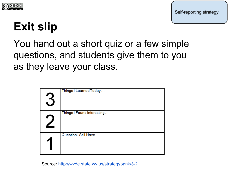

### **Exit slip**

You hand out a short quiz or a few simple questions, and students give them to you as they leave your class.

| Things I Learned Today     |
|----------------------------|
| Things I Found Interesting |
| Question   Still Have      |

Source: [http://wvde.state.wv.us/strategybank/3-2](http://wvde.state.wv.us/strategybank/3-2-1.html)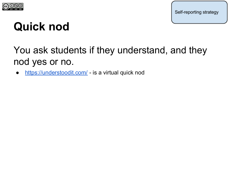

Self-reporting strategy

### **Quick nod**

### You ask students if they understand, and they nod yes or no.

<https://understoodit.com/>- is a virtual quick nod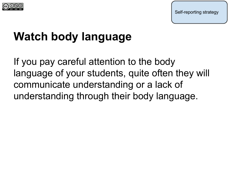

### **Watch body language**

If you pay careful attention to the body language of your students, quite often they will communicate understanding or a lack of understanding through their body language.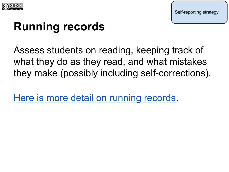

Self-reporting strategy

### **Running records**

Assess students on reading, keeping track of what they do as they read, and what mistakes they make (possibly including self-corrections).

[Here is more detail on running records.](http://www.decd.sa.gov.au/northernadelaide/files/links/DECD_Running_Records_1_v8.pdf)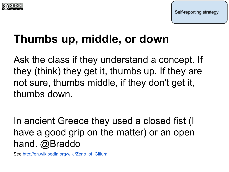



### **Thumbs up, middle, or down**

Ask the class if they understand a concept. If they (think) they get it, thumbs up. If they are not sure, thumbs middle, if they don't get it, thumbs down.

In ancient Greece they used a closed fist (I have a good grip on the matter) or an open hand. @Braddo

See [http://en.wikipedia.org/wiki/Zeno\\_of\\_Citium](http://en.wikipedia.org/wiki/Zeno_of_Citium)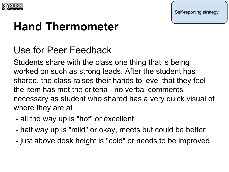

Self-reporting strategy

### **Hand Thermometer**

### Use for Peer Feedback

Students share with the class one thing that is being worked on such as strong leads. After the student has shared, the class raises their hands to level that they feel the item has met the criteria - no verbal comments necessary as student who shared has a very quick visual of where they are at

- all the way up is "hot" or excellent
- half way up is "mild" or okay, meets but could be better
- just above desk height is "cold" or needs to be improved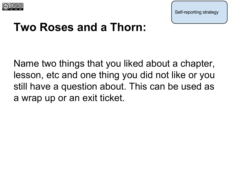

Self-reporting strategy

### **Two Roses and a Thorn:**

Name two things that you liked about a chapter, lesson, etc and one thing you did not like or you still have a question about. This can be used as a wrap up or an exit ticket.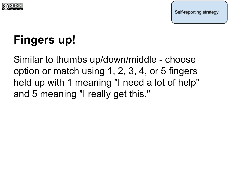

# **Fingers up!**

Similar to thumbs up/down/middle - choose option or match using 1, 2, 3, 4, or 5 fingers held up with 1 meaning "I need a lot of help" and 5 meaning "I really get this."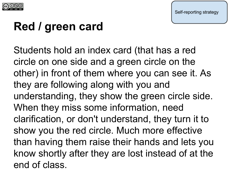

### **Red / green card**

Students hold an index card (that has a red circle on one side and a green circle on the other) in front of them where you can see it. As they are following along with you and understanding, they show the green circle side. When they miss some information, need clarification, or don't understand, they turn it to show you the red circle. Much more effective than having them raise their hands and lets you know shortly after they are lost instead of at the end of class.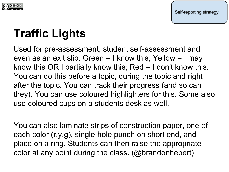

# **Traffic Lights**

Used for pre-assessment, student self-assessment and even as an exit slip. Green  $= 1$  know this; Yellow  $= 1$  may know this OR I partially know this; Red = I don't know this. You can do this before a topic, during the topic and right after the topic. You can track their progress (and so can they). You can use coloured highlighters for this. Some also use coloured cups on a students desk as well.

You can also laminate strips of construction paper, one of each color (r,y,g), single-hole punch on short end, and place on a ring. Students can then raise the appropriate color at any point during the class. (@brandonhebert)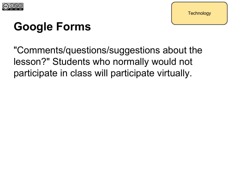

# **Google Forms**

"Comments/questions/suggestions about the lesson?" Students who normally would not participate in class will participate virtually.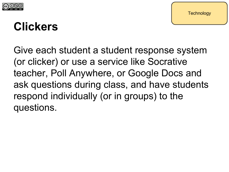

### **Clickers**

Give each student a student response system (or clicker) or use a service like Socrative teacher, Poll Anywhere, or Google Docs and ask questions during class, and have students respond individually (or in groups) to the questions.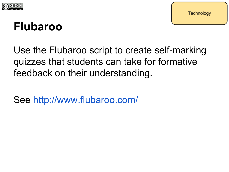

### **Flubaroo**

Use the Flubaroo script to create self-marking quizzes that students can take for formative feedback on their understanding.

See<http://www.flubaroo.com/>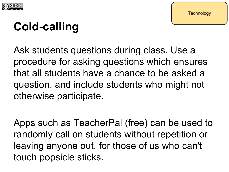

# **Cold-calling**

Ask students questions during class. Use a procedure for asking questions which ensures that all students have a chance to be asked a question, and include students who might not otherwise participate.

Apps such as TeacherPal (free) can be used to randomly call on students without repetition or leaving anyone out, for those of us who can't touch popsicle sticks.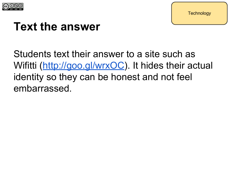

### **Text the answer**

Students text their answer to a site such as Wifitti [\(http://goo.gl/wrxOC](http://goo.gl/wrxOC)). It hides their actual identity so they can be honest and not feel embarrassed.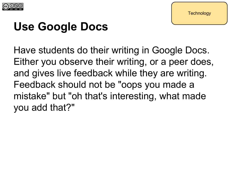

## **Use Google Docs**

Have students do their writing in Google Docs. Either you observe their writing, or a peer does, and gives live feedback while they are writing. Feedback should not be "oops you made a mistake" but "oh that's interesting, what made you add that?"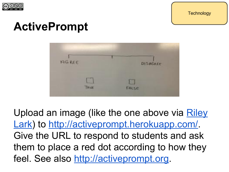

### **ActivePrompt**



Upload an image (like the one above via [Riley](http://larkolicio.us/blog/?p=1170) [Lark](http://larkolicio.us/blog/?p=1170)) to <http://activeprompt.herokuapp.com/>. Give the URL to respond to students and ask them to place a red dot according to how they feel. See also <http://activeprompt.org>.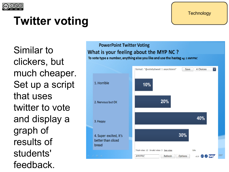

# **Twitter voting**

Similar to clickers, but much cheaper. Set up a script that uses twitter to vote and display a graph of results of students' feedback.

### **PowerPoint Twitter Voting** What is your feeling about the MYP NC?

To vote type a number, anything else you like and use the hastag eg: 1 #MYPNC



**Technology**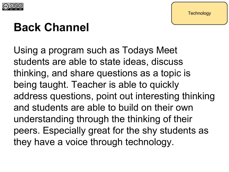

### **Back Channel**

Using a program such as Todays Meet students are able to state ideas, discuss thinking, and share questions as a topic is being taught. Teacher is able to quickly address questions, point out interesting thinking and students are able to build on their own understanding through the thinking of their peers. Especially great for the shy students as they have a voice through technology.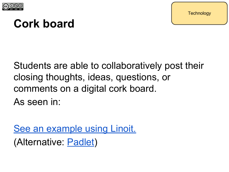

### **Cork board**

Students are able to collaboratively post their closing thoughts, ideas, questions, or comments on a digital cork board. As seen in:

[See an example using Linoit.](http://linoit.com/users/guest/canvases/10e16a845cd236b7ef6772b775767624?dispLang=en_US) (Alternative: [Padlet](http://padlet.com/))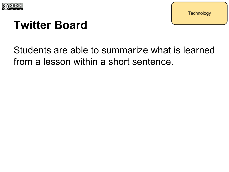

### **Twitter Board**

### Students are able to summarize what is learned from a lesson within a short sentence.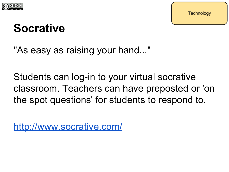

### **Socrative**

"As easy as raising your hand..."

Students can log-in to your virtual socrative classroom. Teachers can have preposted or 'on the spot questions' for students to respond to.

<http://www.socrative.com/>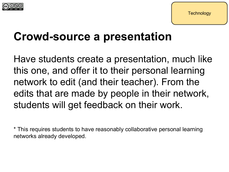



### **Crowd-source a presentation**

Have students create a presentation, much like this one, and offer it to their personal learning network to edit (and their teacher). From the edits that are made by people in their network, students will get feedback on their work.

\* This requires students to have reasonably collaborative personal learning networks already developed.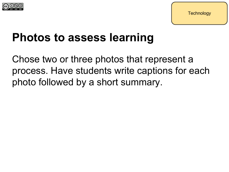

### **Photos to assess learning**

Chose two or three photos that represent a process. Have students write captions for each photo followed by a short summary.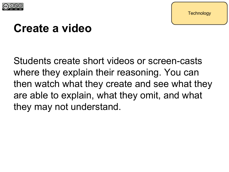

### **Create a video**

Students create short videos or screen-casts where they explain their reasoning. You can then watch what they create and see what they are able to explain, what they omit, and what they may not understand.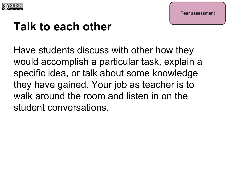

### **Talk to each other**

Have students discuss with other how they would accomplish a particular task, explain a specific idea, or talk about some knowledge they have gained. Your job as teacher is to walk around the room and listen in on the student conversations.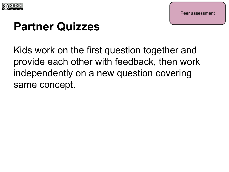

### **Partner Quizzes**

Kids work on the first question together and provide each other with feedback, then work independently on a new question covering same concept.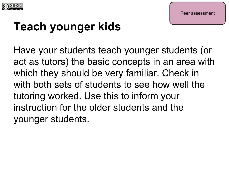

## **Teach younger kids**

Have your students teach younger students (or act as tutors) the basic concepts in an area with which they should be very familiar. Check in with both sets of students to see how well the tutoring worked. Use this to inform your instruction for the older students and the younger students.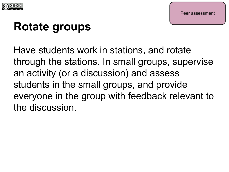

### **Rotate groups**

Have students work in stations, and rotate through the stations. In small groups, supervise an activity (or a discussion) and assess students in the small groups, and provide everyone in the group with feedback relevant to the discussion.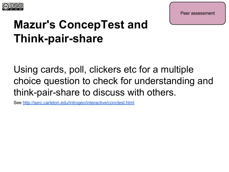

Peer assessment

### **Mazur's ConcepTest and Think-pair-share**

Using cards, poll, clickers etc for a multiple choice question to check for understanding and think-pair-share to discuss with others.

See <http://serc.carleton.edu/introgeo/interactive/conctest.html>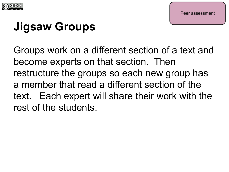

## **Jigsaw Groups**

Groups work on a different section of a text and become experts on that section. Then restructure the groups so each new group has a member that read a different section of the text. Each expert will share their work with the rest of the students.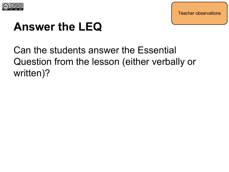

**Teacher observations** 

### **Answer the LEQ**

### Can the students answer the Essential Question from the lesson (either verbally or written)?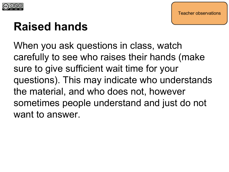

### **Raised hands**

When you ask questions in class, watch carefully to see who raises their hands (make sure to give sufficient wait time for your questions). This may indicate who understands the material, and who does not, however sometimes people understand and just do not want to answer.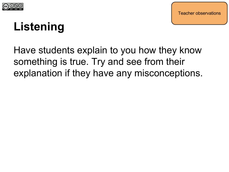

### **Listening**

Have students explain to you how they know something is true. Try and see from their explanation if they have any misconceptions.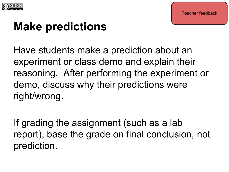

### **Make predictions**

Have students make a prediction about an experiment or class demo and explain their reasoning. After performing the experiment or demo, discuss why their predictions were right/wrong.

If grading the assignment (such as a lab report), base the grade on final conclusion, not prediction.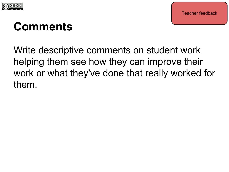

### **Comments**

Write descriptive comments on student work helping them see how they can improve their work or what they've done that really worked for them.